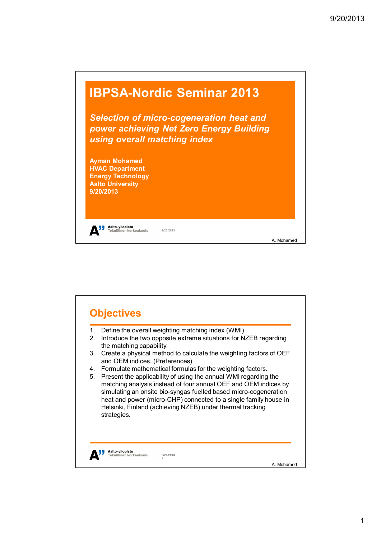

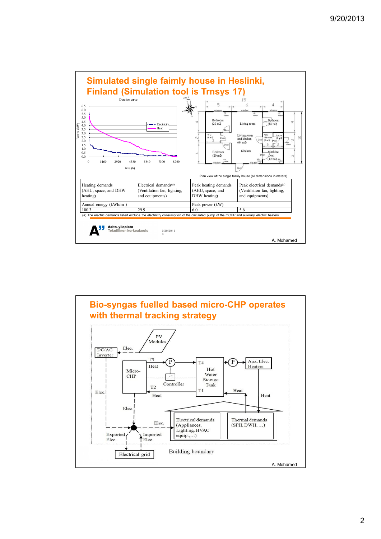

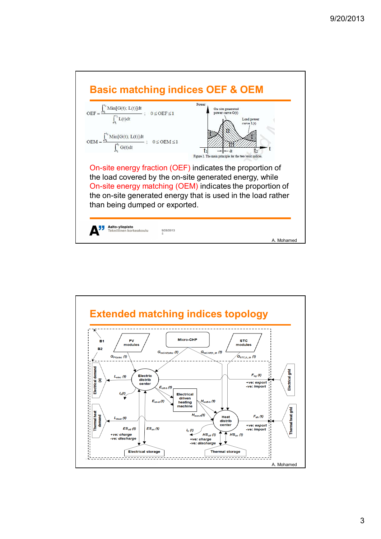

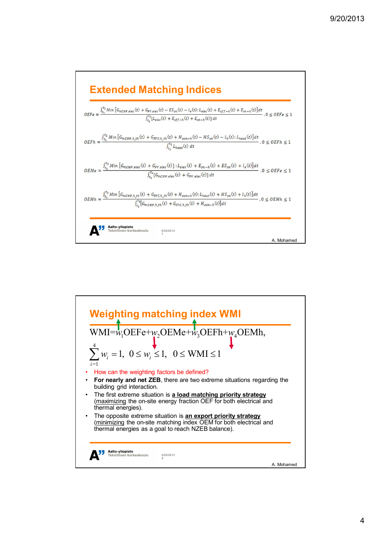

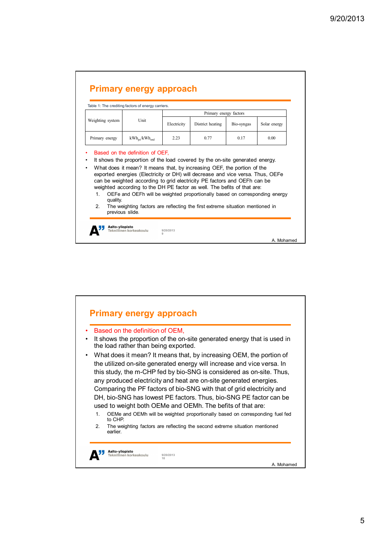| Weighting system | Table 1: The crediting factors of energy carriers.<br>Unit                     | Primary energy factors |                                                                          |            |              |
|------------------|--------------------------------------------------------------------------------|------------------------|--------------------------------------------------------------------------|------------|--------------|
|                  |                                                                                | Electricity            | District heating                                                         | Bio-syngas | Solar energy |
| Primary energy   | $kWh_{pe}/kWh_{end}$                                                           | 2.23                   | 0.77                                                                     | 0.17       | 0.00         |
|                  | exported energies (Electricity or DH) will decrease and vice versa. Thus, OEFe |                        | can be weighted according to grid electricity PE factors and OEFh can be |            |              |

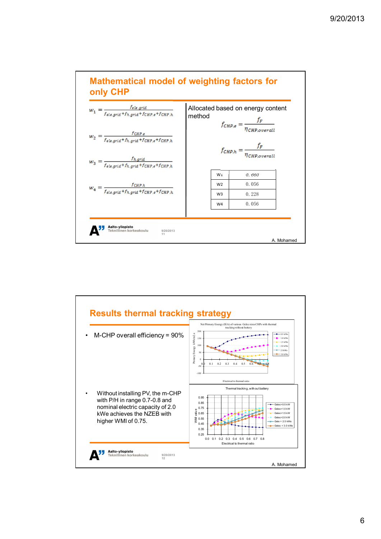

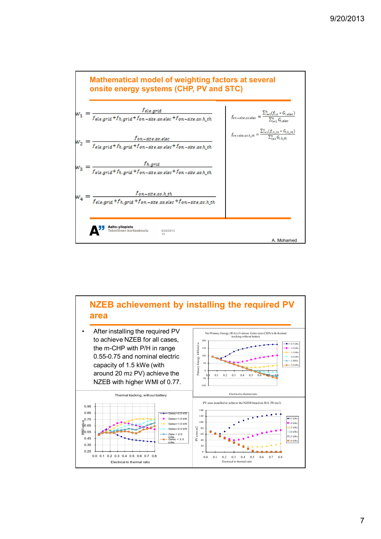



7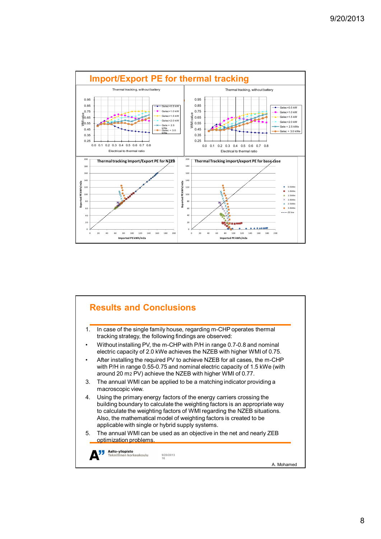